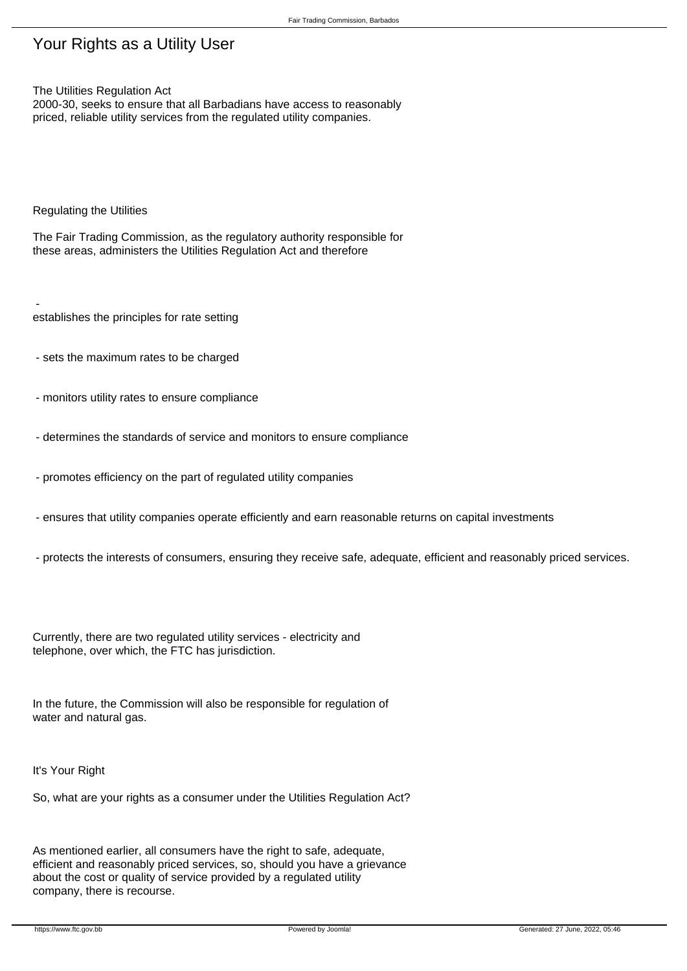## Fair Trading Commission, Barbados

## Your Rights as a Utility User

The Utilities Regulation Act

2000-30, seeks to ensure that all Barbadians have access to reasonably priced, reliable utility services from the regulated utility companies.

Regulating the Utilities

The Fair Trading Commission, as the regulatory authority responsible for these areas, administers the Utilities Regulation Act and therefore

 establishes the principles for rate setting

- sets the maximum rates to be charged
- monitors utility rates to ensure compliance
- determines the standards of service and monitors to ensure compliance
- promotes efficiency on the part of regulated utility companies
- ensures that utility companies operate efficiently and earn reasonable returns on capital investments
- protects the interests of consumers, ensuring they receive safe, adequate, efficient and reasonably priced services.

Currently, there are two regulated utility services - electricity and telephone, over which, the FTC has jurisdiction.

In the future, the Commission will also be responsible for regulation of water and natural gas.

It's Your Right

So, what are your rights as a consumer under the Utilities Regulation Act?

As mentioned earlier, all consumers have the right to safe, adequate, efficient and reasonably priced services, so, should you have a grievance about the cost or quality of service provided by a regulated utility company, there is recourse.